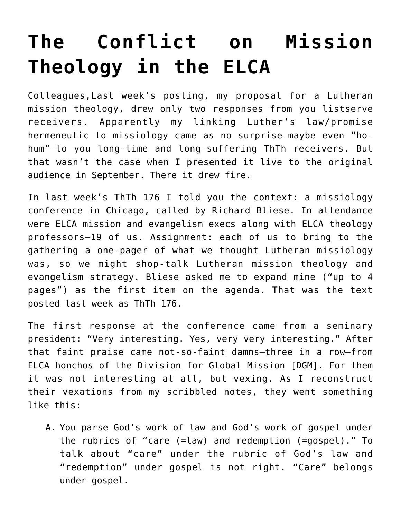## **[The Conflict on Mission](https://crossings.org/the-conflict-on-mission-theology-in-the-elca/) [Theology in the ELCA](https://crossings.org/the-conflict-on-mission-theology-in-the-elca/)**

Colleagues,Last week's posting, my proposal for a Lutheran mission theology, drew only two responses from you listserve receivers. Apparently my linking Luther's law/promise hermeneutic to missiology came as no surprise–maybe even "hohum"–to you long-time and long-suffering ThTh receivers. But that wasn't the case when I presented it live to the original audience in September. There it drew fire.

In last week's ThTh 176 I told you the context: a missiology conference in Chicago, called by Richard Bliese. In attendance were ELCA mission and evangelism execs along with ELCA theology professors–19 of us. Assignment: each of us to bring to the gathering a one-pager of what we thought Lutheran missiology was, so we might shop-talk Lutheran mission theology and evangelism strategy. Bliese asked me to expand mine ("up to 4 pages") as the first item on the agenda. That was the text posted last week as ThTh 176.

The first response at the conference came from a seminary president: "Very interesting. Yes, very very interesting." After that faint praise came not-so-faint damns–three in a row–from ELCA honchos of the Division for Global Mission [DGM]. For them it was not interesting at all, but vexing. As I reconstruct their vexations from my scribbled notes, they went something like this:

A. You parse God's work of law and God's work of gospel under the rubrics of "care (=law) and redemption (=gospel)." To talk about "care" under the rubric of God's law and "redemption" under gospel is not right. "Care" belongs under gospel.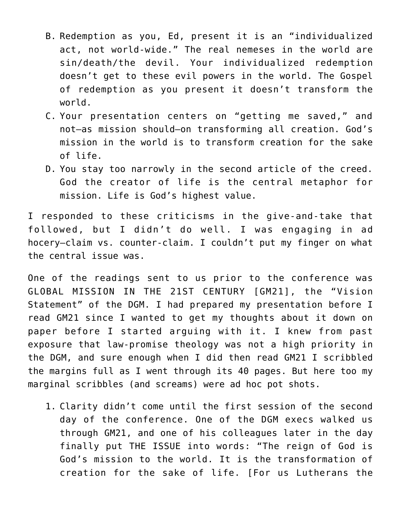- B. Redemption as you, Ed, present it is an "individualized act, not world-wide." The real nemeses in the world are sin/death/the devil. Your individualized redemption doesn't get to these evil powers in the world. The Gospel of redemption as you present it doesn't transform the world.
- C. Your presentation centers on "getting me saved," and not–as mission should–on transforming all creation. God's mission in the world is to transform creation for the sake of life.
- D. You stay too narrowly in the second article of the creed. God the creator of life is the central metaphor for mission. Life is God's highest value.

I responded to these criticisms in the give-and-take that followed, but I didn't do well. I was engaging in ad hocery–claim vs. counter-claim. I couldn't put my finger on what the central issue was.

One of the readings sent to us prior to the conference was GLOBAL MISSION IN THE 21ST CENTURY [GM21], the "Vision Statement" of the DGM. I had prepared my presentation before I read GM21 since I wanted to get my thoughts about it down on paper before I started arguing with it. I knew from past exposure that law-promise theology was not a high priority in the DGM, and sure enough when I did then read GM21 I scribbled the margins full as I went through its 40 pages. But here too my marginal scribbles (and screams) were ad hoc pot shots.

1. Clarity didn't come until the first session of the second day of the conference. One of the DGM execs walked us through GM21, and one of his colleagues later in the day finally put THE ISSUE into words: "The reign of God is God's mission to the world. It is the transformation of creation for the sake of life. [For us Lutherans the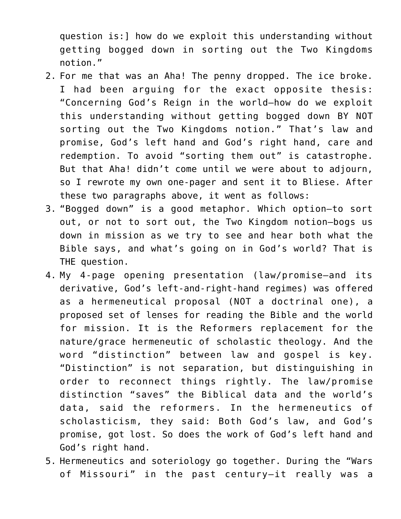question is:] how do we exploit this understanding without getting bogged down in sorting out the Two Kingdoms notion."

- 2. For me that was an Aha! The penny dropped. The ice broke. I had been arguing for the exact opposite thesis: "Concerning God's Reign in the world–how do we exploit this understanding without getting bogged down BY NOT sorting out the Two Kingdoms notion." That's law and promise, God's left hand and God's right hand, care and redemption. To avoid "sorting them out" is catastrophe. But that Aha! didn't come until we were about to adjourn, so I rewrote my own one-pager and sent it to Bliese. After these two paragraphs above, it went as follows:
- 3. "Bogged down" is a good metaphor. Which option–to sort out, or not to sort out, the Two Kingdom notion–bogs us down in mission as we try to see and hear both what the Bible says, and what's going on in God's world? That is THE question.
- 4. My 4-page opening presentation (law/promise–and its derivative, God's left-and-right-hand regimes) was offered as a hermeneutical proposal (NOT a doctrinal one), a proposed set of lenses for reading the Bible and the world for mission. It is the Reformers replacement for the nature/grace hermeneutic of scholastic theology. And the word "distinction" between law and gospel is key. "Distinction" is not separation, but distinguishing in order to reconnect things rightly. The law/promise distinction "saves" the Biblical data and the world's data, said the reformers. In the hermeneutics of scholasticism, they said: Both God's law, and God's promise, got lost. So does the work of God's left hand and God's right hand.
- 5. Hermeneutics and soteriology go together. During the "Wars of Missouri" in the past century–it really was a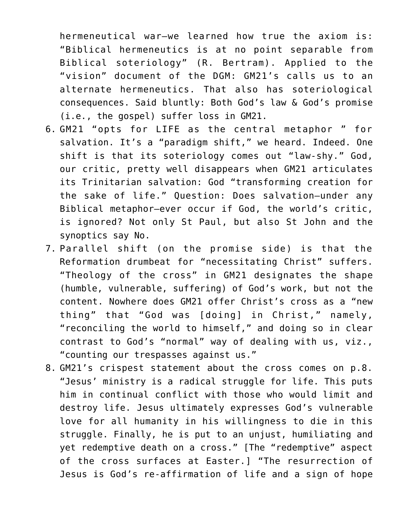hermeneutical war–we learned how true the axiom is: "Biblical hermeneutics is at no point separable from Biblical soteriology" (R. Bertram). Applied to the "vision" document of the DGM: GM21's calls us to an alternate hermeneutics. That also has soteriological consequences. Said bluntly: Both God's law & God's promise (i.e., the gospel) suffer loss in GM21.

- 6. GM21 "opts for LIFE as the central metaphor " for salvation. It's a "paradigm shift," we heard. Indeed. One shift is that its soteriology comes out "law-shy." God, our critic, pretty well disappears when GM21 articulates its Trinitarian salvation: God "transforming creation for the sake of life." Question: Does salvation–under any Biblical metaphor–ever occur if God, the world's critic, is ignored? Not only St Paul, but also St John and the synoptics say No.
- 7. Parallel shift (on the promise side) is that the Reformation drumbeat for "necessitating Christ" suffers. "Theology of the cross" in GM21 designates the shape (humble, vulnerable, suffering) of God's work, but not the content. Nowhere does GM21 offer Christ's cross as a "new thing" that "God was [doing] in Christ," namely, "reconciling the world to himself," and doing so in clear contrast to God's "normal" way of dealing with us, viz., "counting our trespasses against us."
- 8. GM21's crispest statement about the cross comes on p.8. "Jesus' ministry is a radical struggle for life. This puts him in continual conflict with those who would limit and destroy life. Jesus ultimately expresses God's vulnerable love for all humanity in his willingness to die in this struggle. Finally, he is put to an unjust, humiliating and yet redemptive death on a cross." [The "redemptive" aspect of the cross surfaces at Easter.] "The resurrection of Jesus is God's re-affirmation of life and a sign of hope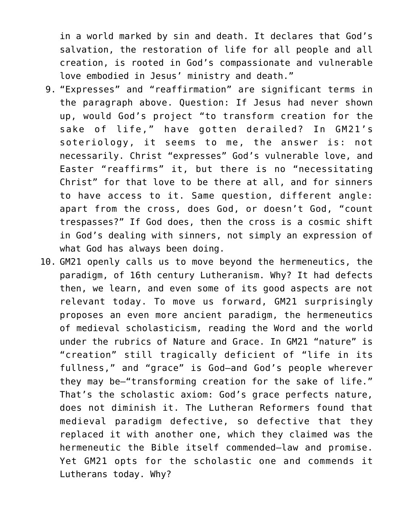in a world marked by sin and death. It declares that God's salvation, the restoration of life for all people and all creation, is rooted in God's compassionate and vulnerable love embodied in Jesus' ministry and death."

- 9. "Expresses" and "reaffirmation" are significant terms in the paragraph above. Question: If Jesus had never shown up, would God's project "to transform creation for the sake of life," have gotten derailed? In GM21's soteriology, it seems to me, the answer is: not necessarily. Christ "expresses" God's vulnerable love, and Easter "reaffirms" it, but there is no "necessitating Christ" for that love to be there at all, and for sinners to have access to it. Same question, different angle: apart from the cross, does God, or doesn't God, "count trespasses?" If God does, then the cross is a cosmic shift in God's dealing with sinners, not simply an expression of what God has always been doing.
- 10. GM21 openly calls us to move beyond the hermeneutics, the paradigm, of 16th century Lutheranism. Why? It had defects then, we learn, and even some of its good aspects are not relevant today. To move us forward, GM21 surprisingly proposes an even more ancient paradigm, the hermeneutics of medieval scholasticism, reading the Word and the world under the rubrics of Nature and Grace. In GM21 "nature" is "creation" still tragically deficient of "life in its fullness," and "grace" is God–and God's people wherever they may be–"transforming creation for the sake of life." That's the scholastic axiom: God's grace perfects nature, does not diminish it. The Lutheran Reformers found that medieval paradigm defective, so defective that they replaced it with another one, which they claimed was the hermeneutic the Bible itself commended–law and promise. Yet GM21 opts for the scholastic one and commends it Lutherans today. Why?